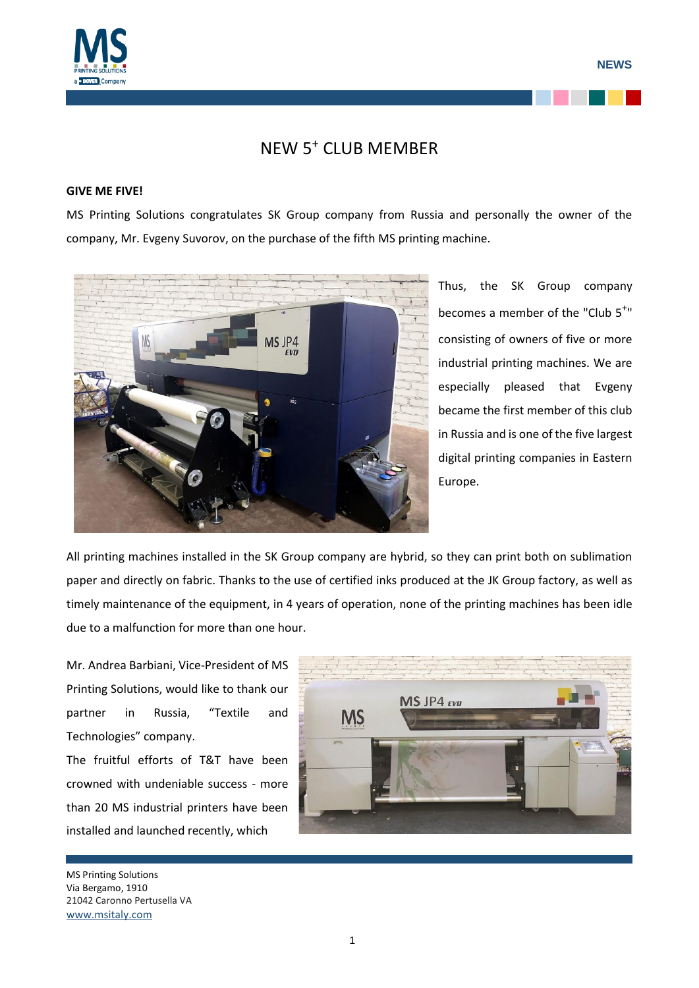

## NEW 5<sup>+</sup> CLUB MEMBER

## **GIVE ME FIVE!**

MS Printing Solutions congratulates SK Group company from Russia and personally the owner of the company, Mr. Evgeny Suvorov, on the purchase of the fifth MS printing machine.



Thus, the SK Group company becomes a member of the "Club 5<sup>+</sup>" consisting of owners of five or more industrial printing machines. We are especially pleased that Evgeny became the first member of this club in Russia and is one of the five largest digital printing companies in Eastern Europe.

All printing machines installed in the SK Group company are hybrid, so they can print both on sublimation paper and directly on fabric. Thanks to the use of certified inks produced at the JK Group factory, as well as timely maintenance of the equipment, in 4 years of operation, none of the printing machines has been idle due to a malfunction for more than one hour.

Mr. Andrea Barbiani, Vice-President of MS Printing Solutions, would like to thank our partner in Russia, "Textile and Technologies" company. The fruitful efforts of T&T have been crowned with undeniable success - more than 20 MS industrial printers have been installed and launched recently, which



MS Printing Solutions Via Bergamo, 1910 21042 Caronno Pertusella VA [www.msitaly.com](http://www.msitaly.com/)